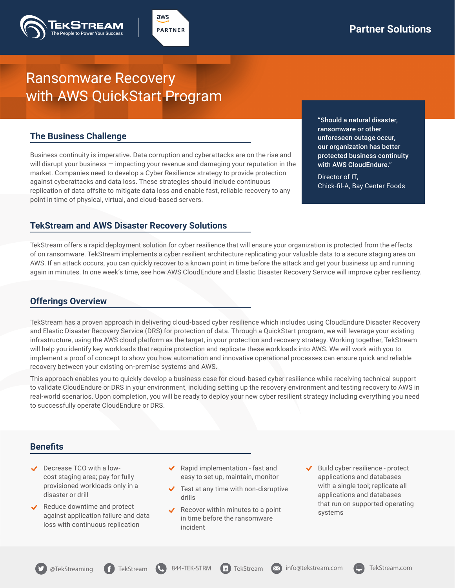# Ransomware Recovery with AWS QuickStart Program

### **The Business Challenge**

Business continuity is imperative. Data corruption and cyberattacks are on the rise and will disrupt your business — impacting your revenue and damaging your reputation in the market. Companies need to develop a Cyber Resilience strategy to provide protection against cyberattacks and data loss. These strategies should include continuous replication of data offsite to mitigate data loss and enable fast, reliable recovery to any point in time of physical, virtual, and cloud-based servers.

aws **PARTNER** 

> "Should a natural disaster, ransomware or other unforeseen outage occur, our organization has better protected business continuity with AWS CloudEndure."

Director of IT, Chick-fil-A, Bay Center Foods

#### **TekStream and AWS Disaster Recovery Solutions**

TekStream offers a rapid deployment solution for cyber resilience that will ensure your organization is protected from the effects of on ransomware. TekStream implements a cyber resilient architecture replicating your valuable data to a secure staging area on AWS. If an attack occurs, you can quickly recover to a known point in time before the attack and get your business up and running again in minutes. In one week's time, see how AWS CloudEndure and Elastic Disaster Recovery Service will improve cyber resiliency.

## **Offerings Overview**

TekStream has a proven approach in delivering cloud-based cyber resilience which includes using CloudEndure Disaster Recovery and Elastic Disaster Recovery Service (DRS) for protection of data. Through a QuickStart program, we will leverage your existing infrastructure, using the AWS cloud platform as the target, in your protection and recovery strategy. Working together, TekStream will help you identify key workloads that require protection and replicate these workloads into AWS. We will work with you to implement a proof of concept to show you how automation and innovative operational processes can ensure quick and reliable recovery between your existing on-premise systems and AWS.

This approach enables you to quickly develop a business case for cloud-based cyber resilience while receiving technical support to validate CloudEndure or DRS in your environment, including setting up the recovery environment and testing recovery to AWS in real-world scenarios. Upon completion, you will be ready to deploy your new cyber resilient strategy including everything you need to successfully operate CloudEndure or DRS.

#### **Benefits**

- Decrease TCO with a lowcost staging area; pay for fully provisioned workloads only in a disaster or drill
- Reduce downtime and protect against application failure and data loss with continuous replication
- Rapid implementation fast and easy to set up, maintain, monitor
- $\blacktriangleright$  Test at any time with non-disruptive drills
- Recover within minutes to a point in time before the ransomware incident
- Build cyber resilience protect applications and databases with a single tool; replicate all applications and databases that run on supported operating systems